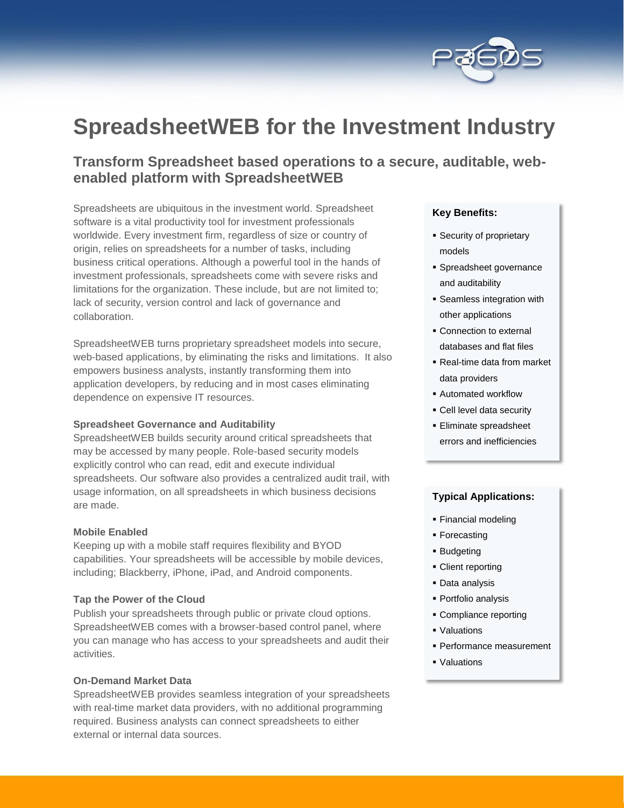

# **SpreadsheetWEB for the Investment Industry**

# **Transform Spreadsheet based operations to a secure, auditable, webenabled platform with SpreadsheetWEB**

Spreadsheets are ubiquitous in the investment world. Spreadsheet software is a vital productivity tool for investment professionals worldwide. Every investment firm, regardless of size or country of origin, relies on spreadsheets for a number of tasks, including business critical operations. Although a powerful tool in the hands of investment professionals, spreadsheets come with severe risks and limitations for the organization. These include, but are not limited to; lack of security, version control and lack of governance and collaboration.

SpreadsheetWEB turns proprietary spreadsheet models into secure, web-based applications, by eliminating the risks and limitations. It also empowers business analysts, instantly transforming them into application developers, by reducing and in most cases eliminating dependence on expensive IT resources.

# **Spreadsheet Governance and Auditability**

SpreadsheetWEB builds security around critical spreadsheets that may be accessed by many people. Role-based security models explicitly control who can read, edit and execute individual spreadsheets. Our software also provides a centralized audit trail, with usage information, on all spreadsheets in which business decisions are made.

#### **Mobile Enabled**

Keeping up with a mobile staff requires flexibility and BYOD capabilities. Your spreadsheets will be accessible by mobile devices, including; Blackberry, iPhone, iPad, and Android components.

#### **Tap the Power of the Cloud**

Publish your spreadsheets through public or private cloud options. SpreadsheetWEB comes with a browser-based control panel, where you can manage who has access to your spreadsheets and audit their activities.

# **On-Demand Market Data**

SpreadsheetWEB provides seamless integration of your spreadsheets with real-time market data providers, with no additional programming required. Business analysts can connect spreadsheets to either external or internal data sources.

# **Key Benefits:**

- **Security of proprietary** models
- Spreadsheet governance and auditability
- Seamless integration with other applications
- Connection to external databases and flat files
- Real-time data from market data providers
- Automated workflow
- Cell level data security
- Eliminate spreadsheet errors and inefficiencies

# **Typical Applications:**

- **Financial modeling**
- **Forecasting**
- **Budgeting**
- Client reporting
- **Data analysis**
- Portfolio analysis
- Compliance reporting
- Valuations
- **Performance measurement**
- Valuations